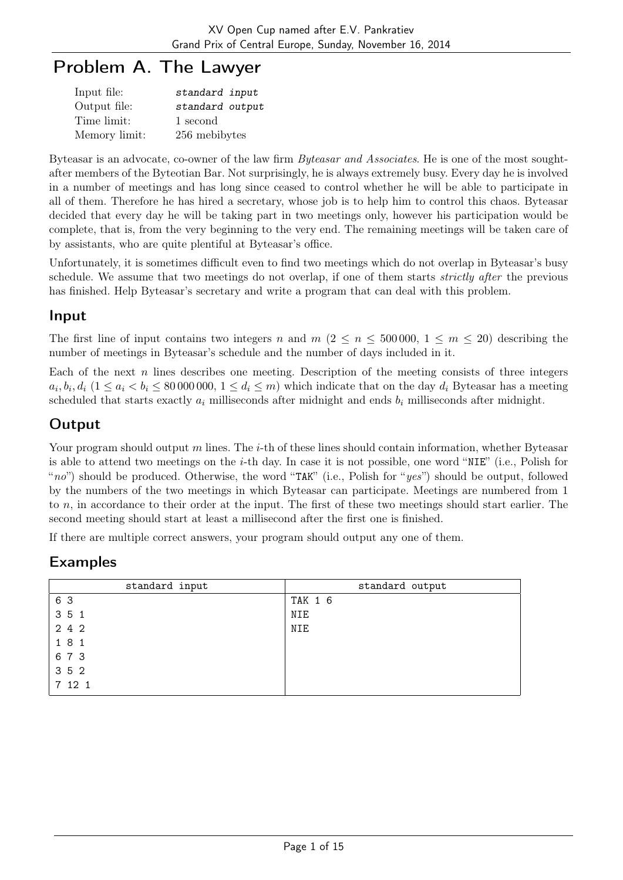# Problem A. The Lawyer

| Input file:   | standard input  |
|---------------|-----------------|
| Output file:  | standard output |
| Time limit:   | 1 second        |
| Memory limit: | 256 mebibytes   |

Byteasar is an advocate, co-owner of the law firm *Byteasar and Associates*. He is one of the most soughtafter members of the Byteotian Bar. Not surprisingly, he is always extremely busy. Every day he is involved in a number of meetings and has long since ceased to control whether he will be able to participate in all of them. Therefore he has hired a secretary, whose job is to help him to control this chaos. Byteasar decided that every day he will be taking part in two meetings only, however his participation would be complete, that is, from the very beginning to the very end. The remaining meetings will be taken care of by assistants, who are quite plentiful at Byteasar's office.

Unfortunately, it is sometimes difficult even to find two meetings which do not overlap in Byteasar's busy schedule. We assume that two meetings do not overlap, if one of them starts strictly after the previous has finished. Help Byteasar's secretary and write a program that can deal with this problem.

#### Input

The first line of input contains two integers n and  $m (2 \le n \le 500000, 1 \le m \le 20)$  describing the number of meetings in Byteasar's schedule and the number of days included in it.

Each of the next  $n$  lines describes one meeting. Description of the meeting consists of three integers  $a_i, b_i, d_i$  ( $1 \le a_i < b_i \le 80\,000\,000, 1 \le d_i \le m$ ) which indicate that on the day  $d_i$  Byteasar has a meeting scheduled that starts exactly  $a_i$  milliseconds after midnight and ends  $b_i$  milliseconds after midnight.

## **Output**

Your program should output m lines. The  $i$ -th of these lines should contain information, whether Byteasar is able to attend two meetings on the i-th day. In case it is not possible, one word "NIE" (i.e., Polish for "no") should be produced. Otherwise, the word "TAK" (i.e., Polish for " $yes$ ") should be output, followed by the numbers of the two meetings in which Byteasar can participate. Meetings are numbered from 1 to n, in accordance to their order at the input. The first of these two meetings should start earlier. The second meeting should start at least a millisecond after the first one is finished.

If there are multiple correct answers, your program should output any one of them.

| standard input | standard output |
|----------------|-----------------|
| 6 3            | TAK 1 6         |
| 3 5 1          | NIE             |
| 2 4 2          | NIE             |
| 181            |                 |
| 6 7 3          |                 |
| 3 5 2          |                 |
| 12 1           |                 |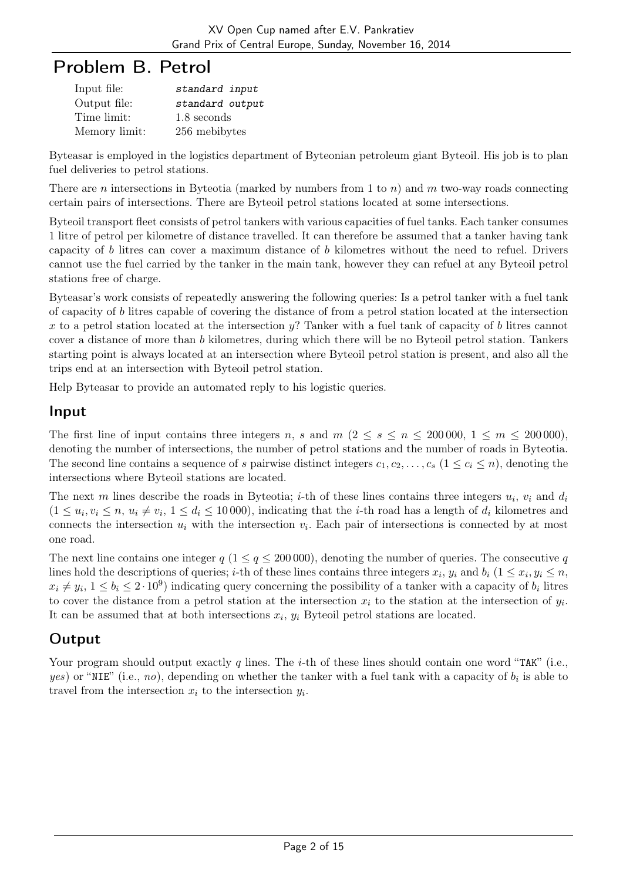## Problem B. Petrol

| Input file:   | standard input  |
|---------------|-----------------|
| Output file:  | standard output |
| Time limit:   | 1.8 seconds     |
| Memory limit: | 256 mebibytes   |

Byteasar is employed in the logistics department of Byteonian petroleum giant Byteoil. His job is to plan fuel deliveries to petrol stations.

There are n intersections in Byteotia (marked by numbers from 1 to n) and m two-way roads connecting certain pairs of intersections. There are Byteoil petrol stations located at some intersections.

Byteoil transport fleet consists of petrol tankers with various capacities of fuel tanks. Each tanker consumes 1 litre of petrol per kilometre of distance travelled. It can therefore be assumed that a tanker having tank capacity of b litres can cover a maximum distance of b kilometres without the need to refuel. Drivers cannot use the fuel carried by the tanker in the main tank, however they can refuel at any Byteoil petrol stations free of charge.

Byteasar's work consists of repeatedly answering the following queries: Is a petrol tanker with a fuel tank of capacity of b litres capable of covering the distance of from a petrol station located at the intersection x to a petrol station located at the intersection  $y$ ? Tanker with a fuel tank of capacity of b litres cannot cover a distance of more than b kilometres, during which there will be no Byteoil petrol station. Tankers starting point is always located at an intersection where Byteoil petrol station is present, and also all the trips end at an intersection with Byteoil petrol station.

Help Byteasar to provide an automated reply to his logistic queries.

#### Input

The first line of input contains three integers n, s and m  $(2 \leq s \leq n \leq 200000, 1 \leq m \leq 200000)$ , denoting the number of intersections, the number of petrol stations and the number of roads in Byteotia. The second line contains a sequence of s pairwise distinct integers  $c_1, c_2, \ldots, c_s$   $(1 \leq c_i \leq n)$ , denoting the intersections where Byteoil stations are located.

The next m lines describe the roads in Byteotia; *i*-th of these lines contains three integers  $u_i$ ,  $v_i$  and  $d_i$  $(1 \le u_i, v_i \le n, u_i \ne v_i, 1 \le d_i \le 10000)$ , indicating that the *i*-th road has a length of  $d_i$  kilometres and connects the intersection  $u_i$  with the intersection  $v_i$ . Each pair of intersections is connected by at most one road.

The next line contains one integer  $q$  (1  $\leq$   $q \leq$  200 000), denoting the number of queries. The consecutive q lines hold the descriptions of queries; *i*-th of these lines contains three integers  $x_i$ ,  $y_i$  and  $b_i$  ( $1 \le x_i, y_i \le n$ ,  $x_i \neq y_i, 1 \leq b_i \leq 2 \cdot 10^9$  indicating query concerning the possibility of a tanker with a capacity of  $b_i$  litres to cover the distance from a petrol station at the intersection  $x_i$  to the station at the intersection of  $y_i$ . It can be assumed that at both intersections  $x_i$ ,  $y_i$  Byteoil petrol stations are located.

## Output

Your program should output exactly q lines. The *i*-th of these lines should contain one word "TAK" (i.e., yes) or "NIE" (i.e., no), depending on whether the tanker with a fuel tank with a capacity of  $b_i$  is able to travel from the intersection  $x_i$  to the intersection  $y_i$ .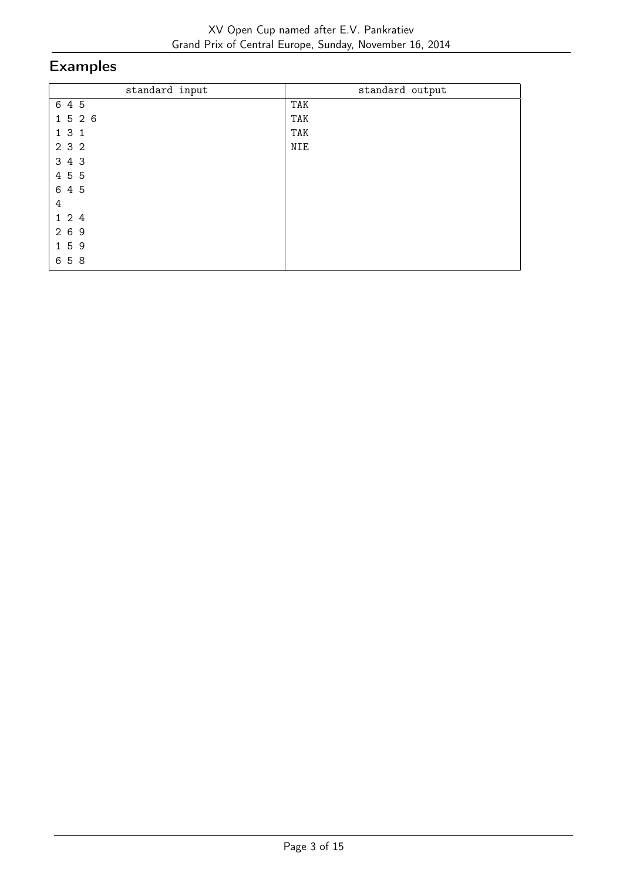| standard input | standard output |
|----------------|-----------------|
| 6 4 5          | TAK             |
| 1 5 2 6        | TAK             |
| 1 3 1          | TAK             |
| 2 3 2          | NIE             |
| 3 4 3          |                 |
| 4 5 5          |                 |
| 6 4 5          |                 |
| 4              |                 |
| 1 2 4          |                 |
| 269            |                 |
| 1 5 9          |                 |
| 658            |                 |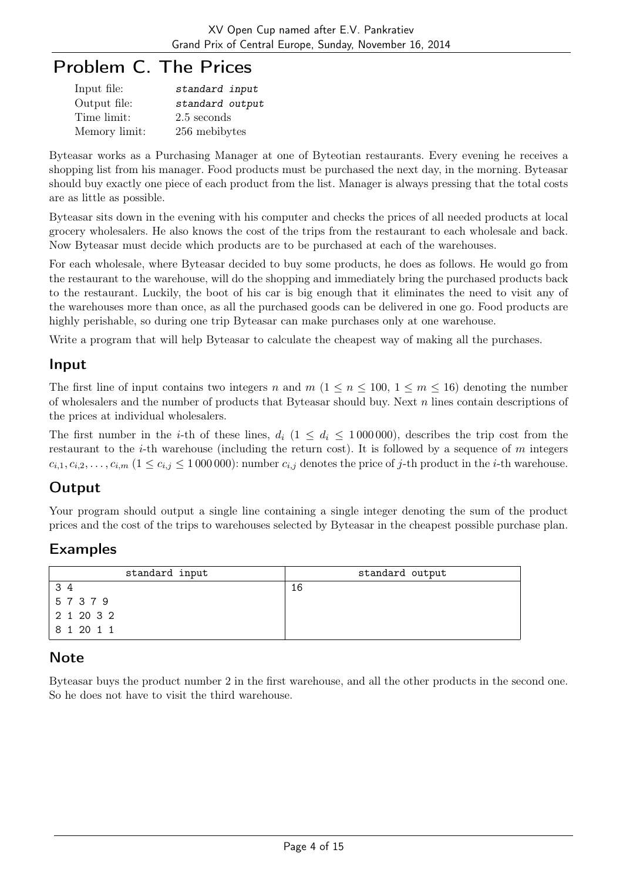## Problem C. The Prices

| Input file:   | standard input  |
|---------------|-----------------|
| Output file:  | standard output |
| Time limit:   | 2.5 seconds     |
| Memory limit: | 256 mebibytes   |

Byteasar works as a Purchasing Manager at one of Byteotian restaurants. Every evening he receives a shopping list from his manager. Food products must be purchased the next day, in the morning. Byteasar should buy exactly one piece of each product from the list. Manager is always pressing that the total costs are as little as possible.

Byteasar sits down in the evening with his computer and checks the prices of all needed products at local grocery wholesalers. He also knows the cost of the trips from the restaurant to each wholesale and back. Now Byteasar must decide which products are to be purchased at each of the warehouses.

For each wholesale, where Byteasar decided to buy some products, he does as follows. He would go from the restaurant to the warehouse, will do the shopping and immediately bring the purchased products back to the restaurant. Luckily, the boot of his car is big enough that it eliminates the need to visit any of the warehouses more than once, as all the purchased goods can be delivered in one go. Food products are highly perishable, so during one trip Byteasar can make purchases only at one warehouse.

Write a program that will help Byteasar to calculate the cheapest way of making all the purchases.

#### Input

The first line of input contains two integers n and  $m$   $(1 \le n \le 100, 1 \le m \le 16)$  denoting the number of wholesalers and the number of products that Byteasar should buy. Next  $n$  lines contain descriptions of the prices at individual wholesalers.

The first number in the *i*-th of these lines,  $d_i$  ( $1 \leq d_i \leq 1000000$ ), describes the trip cost from the restaurant to the *i*-th warehouse (including the return cost). It is followed by a sequence of m integers  $c_{i,1}, c_{i,2}, \ldots, c_{i,m}$   $(1 \leq c_{i,j} \leq 1000000)$ : number  $c_{i,j}$  denotes the price of j-th product in the *i*-th warehouse.

## **Output**

Your program should output a single line containing a single integer denoting the sum of the product prices and the cost of the trips to warehouses selected by Byteasar in the cheapest possible purchase plan.

## Examples

| standard input | standard output |
|----------------|-----------------|
| 34             | 16              |
| 57379          |                 |
| 2 1 20 3 2     |                 |
| 8 1 20 1 1     |                 |

#### **Note**

Byteasar buys the product number 2 in the first warehouse, and all the other products in the second one. So he does not have to visit the third warehouse.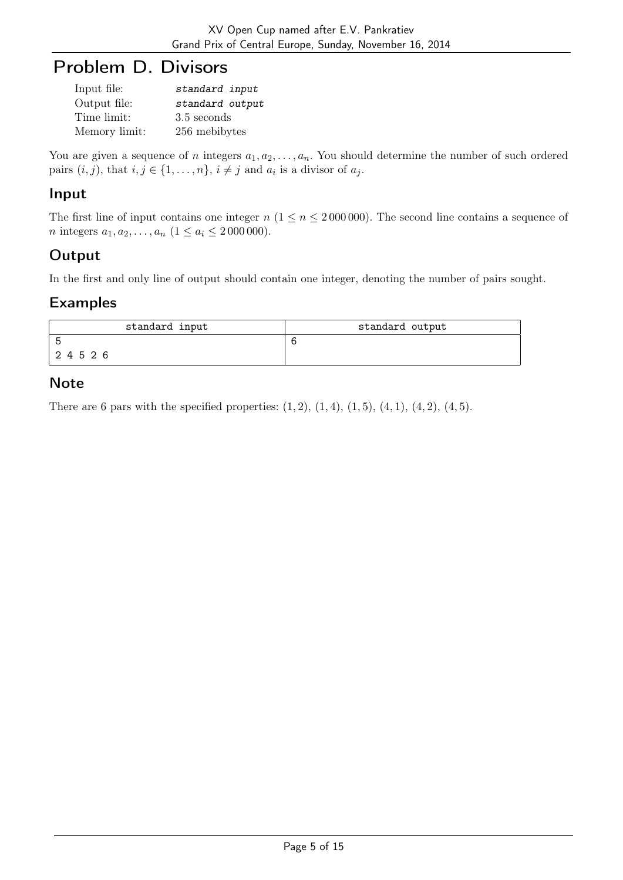## Problem D. Divisors

| Input file:   | standard input  |
|---------------|-----------------|
| Output file:  | standard output |
| Time limit:   | 3.5 seconds     |
| Memory limit: | 256 mebibytes   |

You are given a sequence of n integers  $a_1, a_2, \ldots, a_n$ . You should determine the number of such ordered pairs  $(i, j)$ , that  $i, j \in \{1, \ldots, n\}$ ,  $i \neq j$  and  $a_i$  is a divisor of  $a_j$ .

#### Input

The first line of input contains one integer  $n (1 \le n \le 2000000)$ . The second line contains a sequence of *n* integers  $a_1, a_2, \ldots, a_n$   $(1 \le a_i \le 2000000)$ .

#### **Output**

In the first and only line of output should contain one integer, denoting the number of pairs sought.

#### Examples

| standard input | standard output |
|----------------|-----------------|
| 24526          |                 |
|                |                 |

## **Note**

There are 6 pars with the specified properties:  $(1, 2)$ ,  $(1, 4)$ ,  $(1, 5)$ ,  $(4, 1)$ ,  $(4, 2)$ ,  $(4, 5)$ .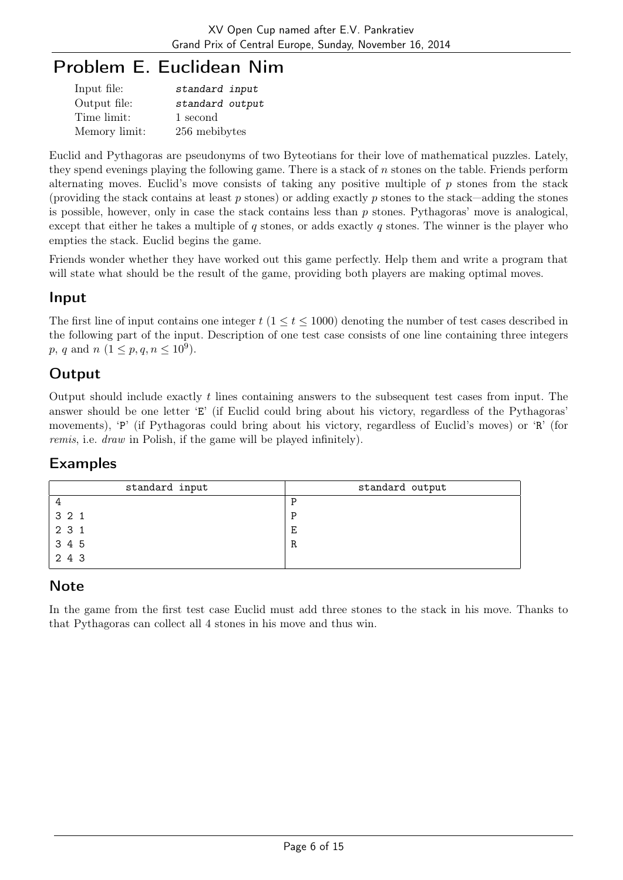# Problem E. Euclidean Nim

| Input file:   | standard input  |
|---------------|-----------------|
| Output file:  | standard output |
| Time limit:   | 1 second        |
| Memory limit: | 256 mebibytes   |

Euclid and Pythagoras are pseudonyms of two Byteotians for their love of mathematical puzzles. Lately, they spend evenings playing the following game. There is a stack of  $n$  stones on the table. Friends perform alternating moves. Euclid's move consists of taking any positive multiple of  $p$  stones from the stack (providing the stack contains at least  $p$  stones) or adding exactly  $p$  stones to the stack—adding the stones is possible, however, only in case the stack contains less than  $p$  stones. Pythagoras' move is analogical, except that either he takes a multiple of q stones, or adds exactly q stones. The winner is the player who empties the stack. Euclid begins the game.

Friends wonder whether they have worked out this game perfectly. Help them and write a program that will state what should be the result of the game, providing both players are making optimal moves.

#### Input

The first line of input contains one integer  $t$  ( $1 \le t \le 1000$ ) denoting the number of test cases described in the following part of the input. Description of one test case consists of one line containing three integers p, q and  $n (1 \le p, q, n \le 10^9)$ .

## **Output**

Output should include exactly t lines containing answers to the subsequent test cases from input. The answer should be one letter 'E' (if Euclid could bring about his victory, regardless of the Pythagoras' movements), 'P' (if Pythagoras could bring about his victory, regardless of Euclid's moves) or 'R' (for remis, i.e. draw in Polish, if the game will be played infinitely).

#### Examples

| standard input | standard output |
|----------------|-----------------|
|                |                 |
| 321            |                 |
| 2 3 1          | Е               |
| 3 4 5          | R               |
| 2 4 3          |                 |

#### **Note**

In the game from the first test case Euclid must add three stones to the stack in his move. Thanks to that Pythagoras can collect all 4 stones in his move and thus win.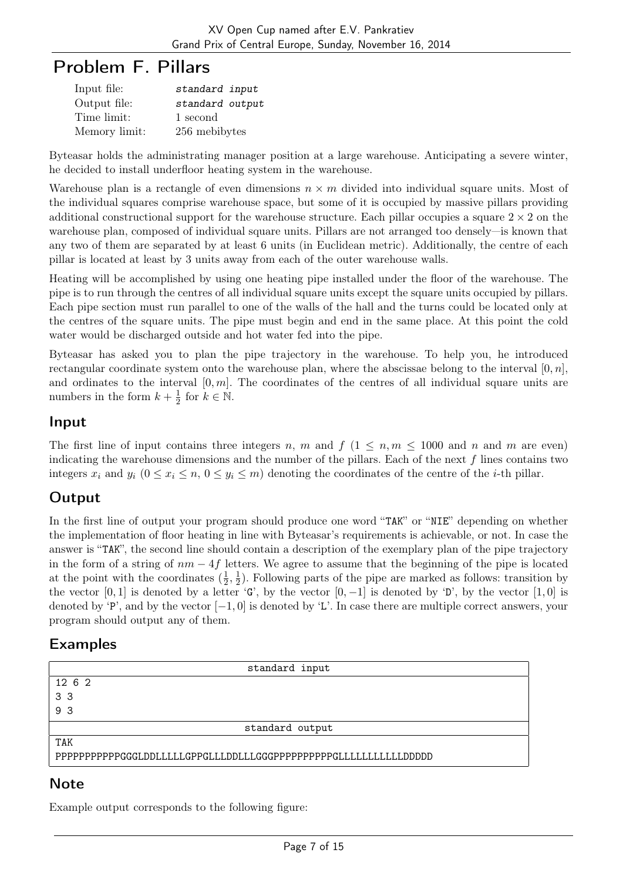## Problem F. Pillars

| Input file:   | standard input  |
|---------------|-----------------|
| Output file:  | standard output |
| Time limit:   | 1 second        |
| Memory limit: | 256 mebibytes   |

Byteasar holds the administrating manager position at a large warehouse. Anticipating a severe winter, he decided to install underfloor heating system in the warehouse.

Warehouse plan is a rectangle of even dimensions  $n \times m$  divided into individual square units. Most of the individual squares comprise warehouse space, but some of it is occupied by massive pillars providing additional constructional support for the warehouse structure. Each pillar occupies a square  $2 \times 2$  on the warehouse plan, composed of individual square units. Pillars are not arranged too densely—is known that any two of them are separated by at least 6 units (in Euclidean metric). Additionally, the centre of each pillar is located at least by 3 units away from each of the outer warehouse walls.

Heating will be accomplished by using one heating pipe installed under the floor of the warehouse. The pipe is to run through the centres of all individual square units except the square units occupied by pillars. Each pipe section must run parallel to one of the walls of the hall and the turns could be located only at the centres of the square units. The pipe must begin and end in the same place. At this point the cold water would be discharged outside and hot water fed into the pipe.

Byteasar has asked you to plan the pipe trajectory in the warehouse. To help you, he introduced rectangular coordinate system onto the warehouse plan, where the abscissae belong to the interval  $[0, n]$ , and ordinates to the interval  $[0, m]$ . The coordinates of the centres of all individual square units are numbers in the form  $k+\frac{1}{2}$  $\frac{1}{2}$  for  $k \in \mathbb{N}$ .

#### Input

The first line of input contains three integers n, m and  $f(1 \leq n, m \leq 1000$  and n and m are even) indicating the warehouse dimensions and the number of the pillars. Each of the next  $f$  lines contains two integers  $x_i$  and  $y_i$   $(0 \le x_i \le n, 0 \le y_i \le m)$  denoting the coordinates of the centre of the *i*-th pillar.

## **Output**

In the first line of output your program should produce one word "TAK" or "NIE" depending on whether the implementation of floor heating in line with Byteasar's requirements is achievable, or not. In case the answer is "TAK", the second line should contain a description of the exemplary plan of the pipe trajectory in the form of a string of  $nm - 4f$  letters. We agree to assume that the beginning of the pipe is located at the point with the coordinates  $(\frac{1}{2})$  $\frac{1}{2}, \frac{1}{2}$  $\frac{1}{2}$ ). Following parts of the pipe are marked as follows: transition by the vector  $[0, 1]$  is denoted by a letter 'G', by the vector  $[0, -1]$  is denoted by 'D', by the vector  $[1, 0]$  is denoted by 'P', and by the vector  $[-1, 0]$  is denoted by 'L'. In case there are multiple correct answers, your program should output any of them.

#### Examples

| standard input  |
|-----------------|
| 1262            |
| 33              |
| 93              |
| standard output |
| TAK             |
|                 |

## **Note**

Example output corresponds to the following figure: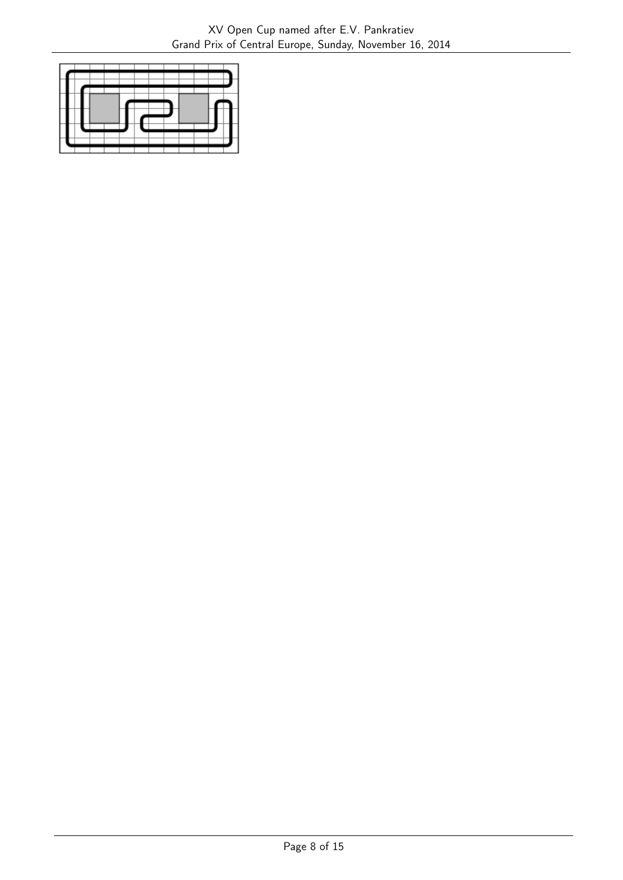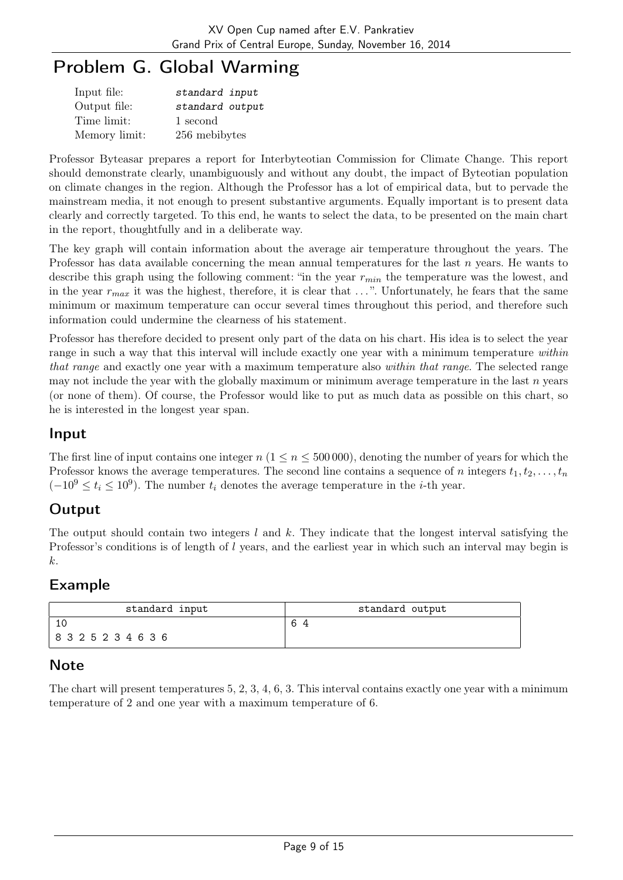# Problem G. Global Warming

| Input file:   | standard input  |
|---------------|-----------------|
| Output file:  | standard output |
| Time limit:   | 1 second        |
| Memory limit: | 256 mebibytes   |

Professor Byteasar prepares a report for Interbyteotian Commission for Climate Change. This report should demonstrate clearly, unambiguously and without any doubt, the impact of Byteotian population on climate changes in the region. Although the Professor has a lot of empirical data, but to pervade the mainstream media, it not enough to present substantive arguments. Equally important is to present data clearly and correctly targeted. To this end, he wants to select the data, to be presented on the main chart in the report, thoughtfully and in a deliberate way.

The key graph will contain information about the average air temperature throughout the years. The Professor has data available concerning the mean annual temperatures for the last n years. He wants to describe this graph using the following comment: "in the year  $r_{min}$  the temperature was the lowest, and in the year  $r_{max}$  it was the highest, therefore, it is clear that ...". Unfortunately, he fears that the same minimum or maximum temperature can occur several times throughout this period, and therefore such information could undermine the clearness of his statement.

Professor has therefore decided to present only part of the data on his chart. His idea is to select the year range in such a way that this interval will include exactly one year with a minimum temperature within that range and exactly one year with a maximum temperature also within that range. The selected range may not include the year with the globally maximum or minimum average temperature in the last  $n$  years (or none of them). Of course, the Professor would like to put as much data as possible on this chart, so he is interested in the longest year span.

#### Input

The first line of input contains one integer  $n (1 \le n \le 500000)$ , denoting the number of years for which the Professor knows the average temperatures. The second line contains a sequence of n integers  $t_1, t_2, \ldots, t_n$  $(-10^9 \le t_i \le 10^9)$ . The number  $t_i$  denotes the average temperature in the *i*-th year.

## **Output**

The output should contain two integers  $l$  and  $k$ . They indicate that the longest interval satisfying the Professor's conditions is of length of l years, and the earliest year in which such an interval may begin is k.

## Example

| standard input      | standard output |
|---------------------|-----------------|
|                     | -6              |
| 8 3 2 5 2 3 4 6 3 6 |                 |

## **Note**

The chart will present temperatures 5, 2, 3, 4, 6, 3. This interval contains exactly one year with a minimum temperature of 2 and one year with a maximum temperature of 6.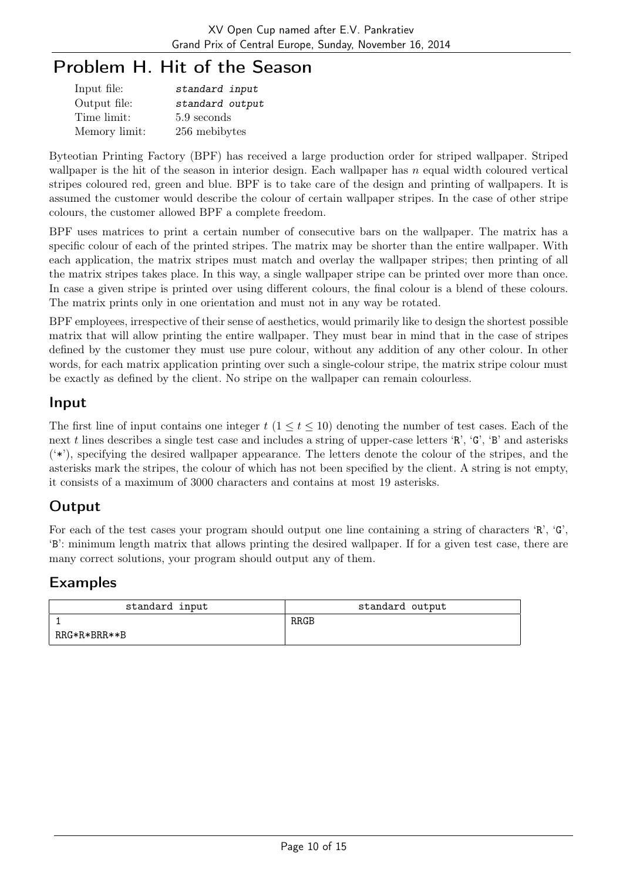# Problem H. Hit of the Season

| Input file:   | standard input  |
|---------------|-----------------|
| Output file:  | standard output |
| Time limit:   | 5.9 seconds     |
| Memory limit: | 256 mebibytes   |

Byteotian Printing Factory (BPF) has received a large production order for striped wallpaper. Striped wallpaper is the hit of the season in interior design. Each wallpaper has  $n$  equal width coloured vertical stripes coloured red, green and blue. BPF is to take care of the design and printing of wallpapers. It is assumed the customer would describe the colour of certain wallpaper stripes. In the case of other stripe colours, the customer allowed BPF a complete freedom.

BPF uses matrices to print a certain number of consecutive bars on the wallpaper. The matrix has a specific colour of each of the printed stripes. The matrix may be shorter than the entire wallpaper. With each application, the matrix stripes must match and overlay the wallpaper stripes; then printing of all the matrix stripes takes place. In this way, a single wallpaper stripe can be printed over more than once. In case a given stripe is printed over using different colours, the final colour is a blend of these colours. The matrix prints only in one orientation and must not in any way be rotated.

BPF employees, irrespective of their sense of aesthetics, would primarily like to design the shortest possible matrix that will allow printing the entire wallpaper. They must bear in mind that in the case of stripes defined by the customer they must use pure colour, without any addition of any other colour. In other words, for each matrix application printing over such a single-colour stripe, the matrix stripe colour must be exactly as defined by the client. No stripe on the wallpaper can remain colourless.

#### Input

The first line of input contains one integer  $t$  ( $1 \le t \le 10$ ) denoting the number of test cases. Each of the next t lines describes a single test case and includes a string of upper-case letters  $\mathbb{R}^3$ ,  $\mathbb{G}^2$ ,  $\mathbb{B}^3$  and asterisks  $(**)$ , specifying the desired wallpaper appearance. The letters denote the colour of the stripes, and the asterisks mark the stripes, the colour of which has not been specified by the client. A string is not empty, it consists of a maximum of 3000 characters and contains at most 19 asterisks.

## **Output**

For each of the test cases your program should output one line containing a string of characters 'R', 'G', 'B': minimum length matrix that allows printing the desired wallpaper. If for a given test case, there are many correct solutions, your program should output any of them.

| standard input | standard output |
|----------------|-----------------|
|                | RRGB            |
| RRG*R*BRR**B   |                 |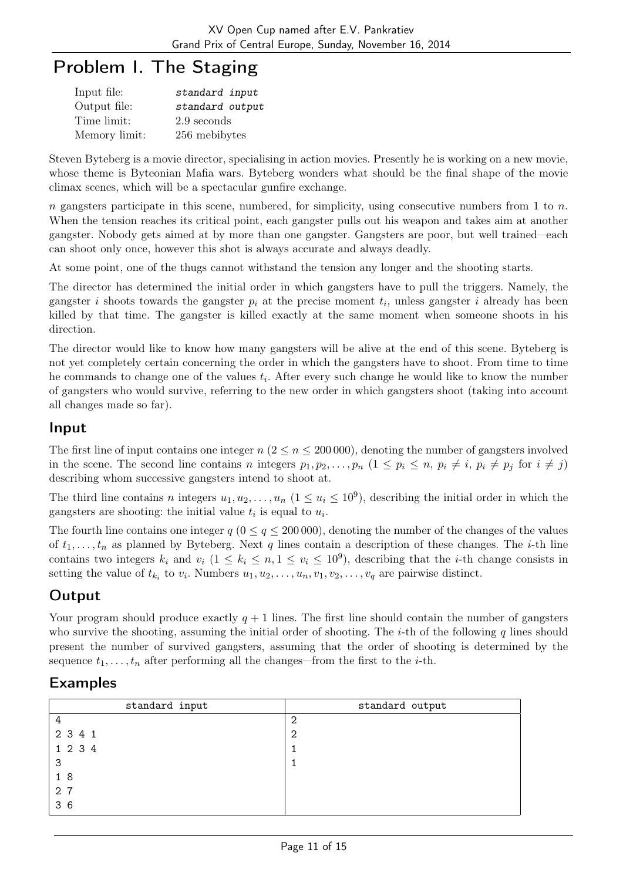# Problem I. The Staging

| Input file:   | standard input  |
|---------------|-----------------|
| Output file:  | standard output |
| Time limit:   | 2.9 seconds     |
| Memory limit: | 256 mebibytes   |

Steven Byteberg is a movie director, specialising in action movies. Presently he is working on a new movie, whose theme is Byteonian Mafia wars. Byteberg wonders what should be the final shape of the movie climax scenes, which will be a spectacular gunfire exchange.

n gangsters participate in this scene, numbered, for simplicity, using consecutive numbers from 1 to  $n$ . When the tension reaches its critical point, each gangster pulls out his weapon and takes aim at another gangster. Nobody gets aimed at by more than one gangster. Gangsters are poor, but well trained—each can shoot only once, however this shot is always accurate and always deadly.

At some point, one of the thugs cannot withstand the tension any longer and the shooting starts.

The director has determined the initial order in which gangsters have to pull the triggers. Namely, the gangster *i* shoots towards the gangster  $p_i$  at the precise moment  $t_i$ , unless gangster *i* already has been killed by that time. The gangster is killed exactly at the same moment when someone shoots in his direction.

The director would like to know how many gangsters will be alive at the end of this scene. Byteberg is not yet completely certain concerning the order in which the gangsters have to shoot. From time to time he commands to change one of the values  $t_i$ . After every such change he would like to know the number of gangsters who would survive, referring to the new order in which gangsters shoot (taking into account all changes made so far).

#### Input

The first line of input contains one integer  $n (2 \le n \le 200000)$ , denoting the number of gangsters involved in the scene. The second line contains n integers  $p_1, p_2, \ldots, p_n$   $(1 \leq p_i \leq n, p_i \neq i, p_i \neq p_j \text{ for } i \neq j)$ describing whom successive gangsters intend to shoot at.

The third line contains n integers  $u_1, u_2, \ldots, u_n$   $(1 \le u_i \le 10^9)$ , describing the initial order in which the gangsters are shooting: the initial value  $t_i$  is equal to  $u_i$ .

The fourth line contains one integer  $q$  ( $0 \le q \le 200000$ ), denoting the number of the changes of the values of  $t_1, \ldots, t_n$  as planned by Byteberg. Next q lines contain a description of these changes. The *i*-th line contains two integers  $k_i$  and  $v_i$   $(1 \leq k_i \leq n, 1 \leq v_i \leq 10^9)$ , describing that the *i*-th change consists in setting the value of  $t_{k_i}$  to  $v_i$ . Numbers  $u_1, u_2, \ldots, u_n, v_1, v_2, \ldots, v_q$  are pairwise distinct.

## **Output**

Your program should produce exactly  $q + 1$  lines. The first line should contain the number of gangsters who survive the shooting, assuming the initial order of shooting. The *i*-th of the following q lines should present the number of survived gangsters, assuming that the order of shooting is determined by the sequence  $t_1, \ldots, t_n$  after performing all the changes—from the first to the *i*-th.

| standard input | standard output |
|----------------|-----------------|
| 4              | 2               |
| 2 3 4 1        | റ               |
| 1 2 3 4        |                 |
| 3              |                 |
| 1 8            |                 |
| 27             |                 |
| 36             |                 |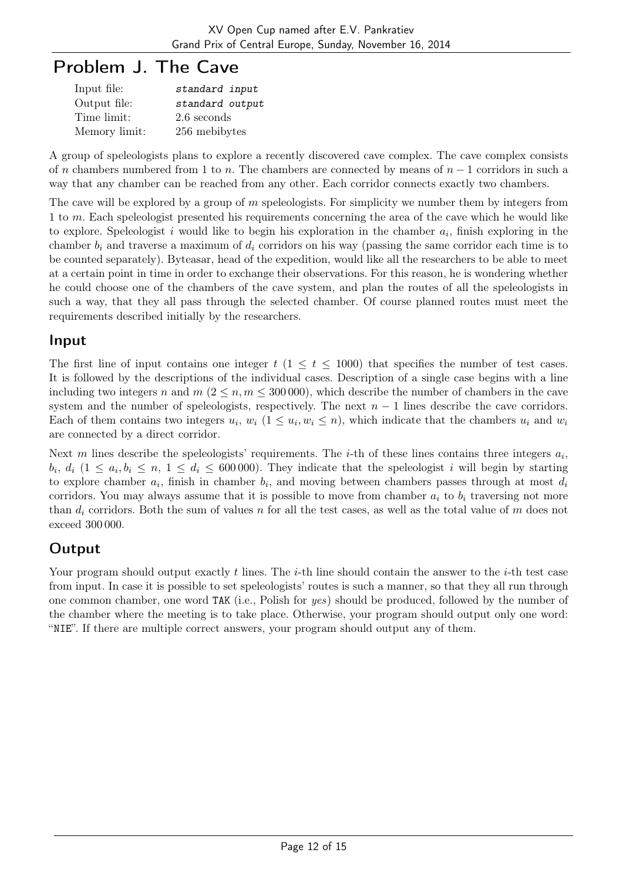## Problem J. The Cave

| Input file:   | standard input  |
|---------------|-----------------|
| Output file:  | standard output |
| Time limit:   | 2.6 seconds     |
| Memory limit: | 256 mebibytes   |

A group of speleologists plans to explore a recently discovered cave complex. The cave complex consists of n chambers numbered from 1 to n. The chambers are connected by means of  $n-1$  corridors in such a way that any chamber can be reached from any other. Each corridor connects exactly two chambers.

The cave will be explored by a group of m speleologists. For simplicity we number them by integers from 1 to m. Each speleologist presented his requirements concerning the area of the cave which he would like to explore. Speleologist i would like to begin his exploration in the chamber  $a_i$ , finish exploring in the chamber  $b_i$  and traverse a maximum of  $d_i$  corridors on his way (passing the same corridor each time is to be counted separately). Byteasar, head of the expedition, would like all the researchers to be able to meet at a certain point in time in order to exchange their observations. For this reason, he is wondering whether he could choose one of the chambers of the cave system, and plan the routes of all the speleologists in such a way, that they all pass through the selected chamber. Of course planned routes must meet the requirements described initially by the researchers.

#### Input

The first line of input contains one integer  $t$  ( $1 \le t \le 1000$ ) that specifies the number of test cases. It is followed by the descriptions of the individual cases. Description of a single case begins with a line including two integers n and  $m (2 \le n, m \le 300000)$ , which describe the number of chambers in the cave system and the number of speleologists, respectively. The next  $n-1$  lines describe the cave corridors. Each of them contains two integers  $u_i$ ,  $w_i$   $(1 \le u_i, w_i \le n)$ , which indicate that the chambers  $u_i$  and  $w_i$ are connected by a direct corridor.

Next m lines describe the speleologists' requirements. The *i*-th of these lines contains three integers  $a_i$ ,  $b_i, d_i$   $(1 \le a_i, b_i \le n, 1 \le d_i \le 600000)$ . They indicate that the speleologist i will begin by starting to explore chamber  $a_i$ , finish in chamber  $b_i$ , and moving between chambers passes through at most  $d_i$ corridors. You may always assume that it is possible to move from chamber  $a_i$  to  $b_i$  traversing not more than  $d_i$  corridors. Both the sum of values n for all the test cases, as well as the total value of m does not exceed 300 000.

## **Output**

Your program should output exactly t lines. The *i*-th line should contain the answer to the *i*-th test case from input. In case it is possible to set speleologists' routes is such a manner, so that they all run through one common chamber, one word TAK (i.e., Polish for yes) should be produced, followed by the number of the chamber where the meeting is to take place. Otherwise, your program should output only one word: "NIE". If there are multiple correct answers, your program should output any of them.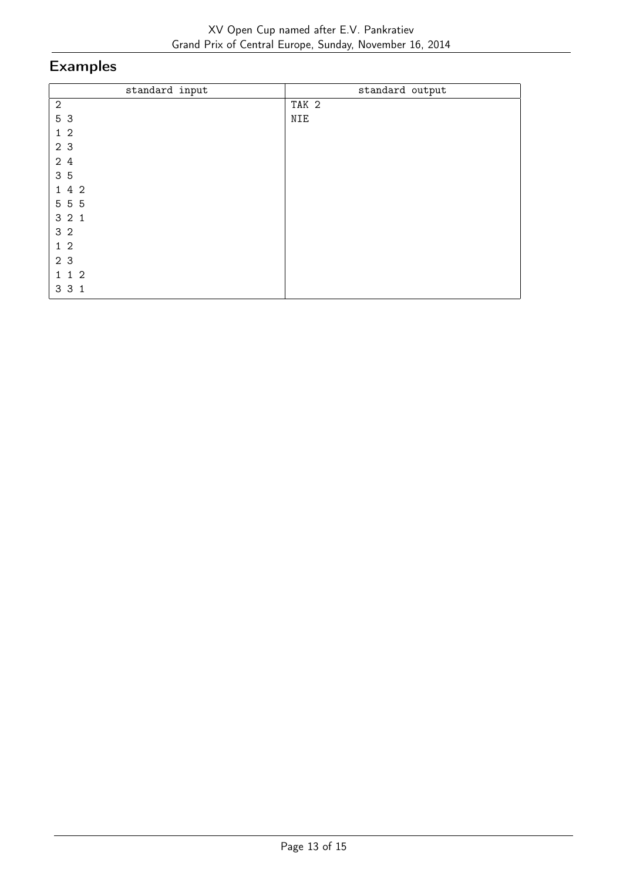| standard input | standard output |
|----------------|-----------------|
| $\overline{2}$ | TAK 2           |
| 5 3            | NIE             |
| 1 <sub>2</sub> |                 |
| 2 3            |                 |
| 2 4            |                 |
| 35             |                 |
| 1 4 2          |                 |
| 5 5 5          |                 |
| 3 2 1          |                 |
| 3 <sub>2</sub> |                 |
| 1 <sub>2</sub> |                 |
| 2 3            |                 |
| 112            |                 |
| 3 3 1          |                 |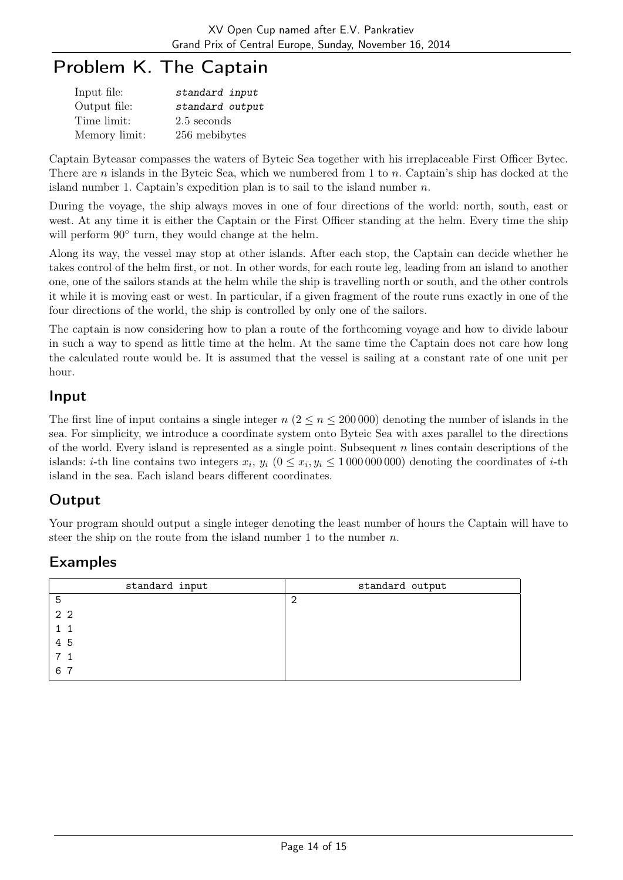# Problem K. The Captain

| Input file:   | standard input  |
|---------------|-----------------|
| Output file:  | standard output |
| Time limit:   | 2.5 seconds     |
| Memory limit: | 256 mebibytes   |

Captain Byteasar compasses the waters of Byteic Sea together with his irreplaceable First Officer Bytec. There are  $n$  islands in the Byteic Sea, which we numbered from 1 to  $n$ . Captain's ship has docked at the island number 1. Captain's expedition plan is to sail to the island number  $n$ .

During the voyage, the ship always moves in one of four directions of the world: north, south, east or west. At any time it is either the Captain or the First Officer standing at the helm. Every time the ship will perform  $90^{\circ}$  turn, they would change at the helm.

Along its way, the vessel may stop at other islands. After each stop, the Captain can decide whether he takes control of the helm first, or not. In other words, for each route leg, leading from an island to another one, one of the sailors stands at the helm while the ship is travelling north or south, and the other controls it while it is moving east or west. In particular, if a given fragment of the route runs exactly in one of the four directions of the world, the ship is controlled by only one of the sailors.

The captain is now considering how to plan a route of the forthcoming voyage and how to divide labour in such a way to spend as little time at the helm. At the same time the Captain does not care how long the calculated route would be. It is assumed that the vessel is sailing at a constant rate of one unit per hour.

#### Input

The first line of input contains a single integer  $n (2 \le n \le 200000)$  denoting the number of islands in the sea. For simplicity, we introduce a coordinate system onto Byteic Sea with axes parallel to the directions of the world. Every island is represented as a single point. Subsequent  $n$  lines contain descriptions of the islands: *i*-th line contains two integers  $x_i$ ,  $y_i$  ( $0 \le x_i, y_i \le 1000000000$ ) denoting the coordinates of *i*-th island in the sea. Each island bears different coordinates.

## **Output**

Your program should output a single integer denoting the least number of hours the Captain will have to steer the ship on the route from the island number 1 to the number  $n$ .

| standard input | standard output |
|----------------|-----------------|
| 5              |                 |
| 22             |                 |
| $1\quad1$      |                 |
| 4 5            |                 |
| 7 <sub>1</sub> |                 |
| 6 7            |                 |